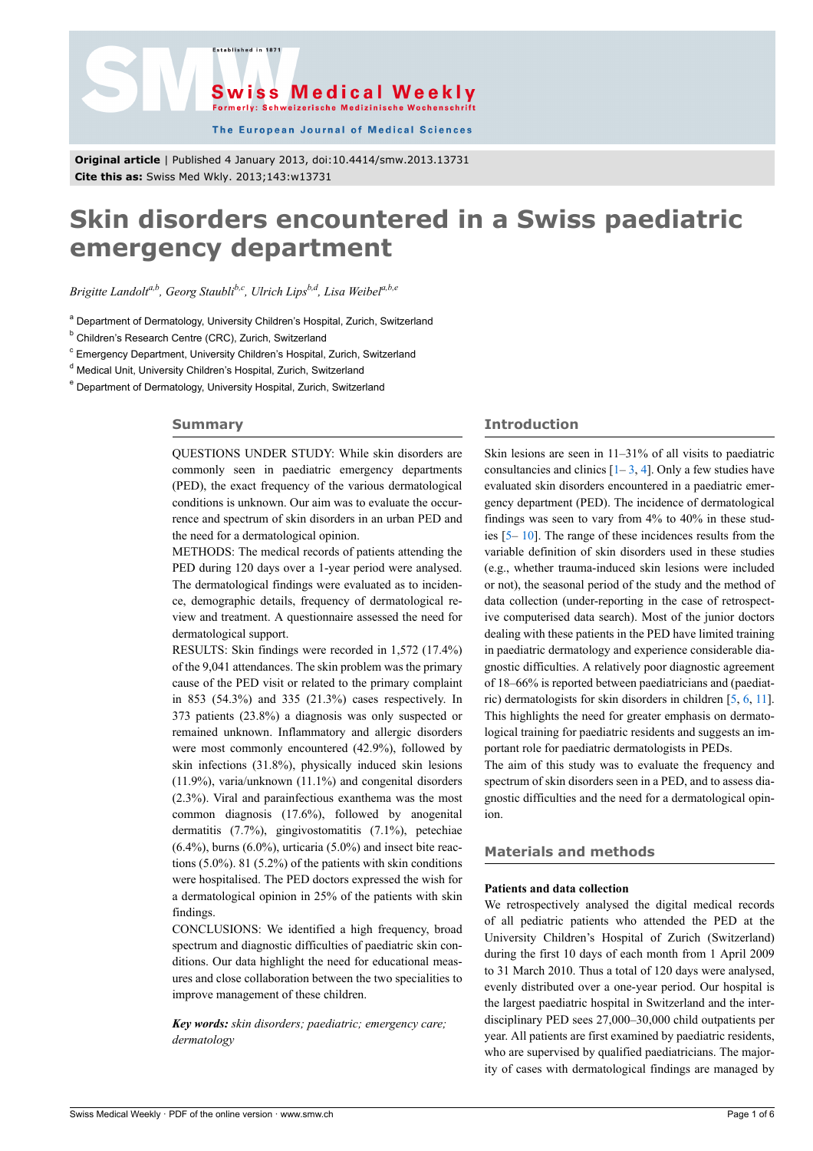



The European Journal of Medical Sciences

**Original article** | Published 4 January 2013, doi:10.4414/smw.2013.13731 **Cite this as:** Swiss Med Wkly. 2013;143:w13731

# **Skin disorders encountered in a Swiss paediatric emergency department**

*Brigitte Landolta,b, Georg Staublib,c, Ulrich Lipsb,d, Lisa Weibela,b,e*

<sup>a</sup> Department of Dermatology, University Children's Hospital, Zurich, Switzerland

<sup>b</sup> Children's Research Centre (CRC), Zurich, Switzerland

<sup>c</sup> Emergency Department, University Children's Hospital, Zurich, Switzerland

<sup>d</sup> Medical Unit, University Children's Hospital, Zurich, Switzerland

<sup>e</sup> Department of Dermatology, University Hospital, Zurich, Switzerland

#### **Summary**

QUESTIONS UNDER STUDY: While skin disorders are commonly seen in paediatric emergency departments (PED), the exact frequency of the various dermatological conditions is unknown. Our aim was to evaluate the occurrence and spectrum of skin disorders in an urban PED and the need for a dermatological opinion.

METHODS: The medical records of patients attending the PED during 120 days over a 1-year period were analysed. The dermatological findings were evaluated as to incidence, demographic details, frequency of dermatological review and treatment. A questionnaire assessed the need for dermatological support.

RESULTS: Skin findings were recorded in 1,572 (17.4%) of the 9,041 attendances. The skin problem was the primary cause of the PED visit or related to the primary complaint in 853 (54.3%) and 335 (21.3%) cases respectively. In 373 patients (23.8%) a diagnosis was only suspected or remained unknown. Inflammatory and allergic disorders were most commonly encountered (42.9%), followed by skin infections (31.8%), physically induced skin lesions (11.9%), varia/unknown (11.1%) and congenital disorders (2.3%). Viral and parainfectious exanthema was the most common diagnosis (17.6%), followed by anogenital dermatitis (7.7%), gingivostomatitis (7.1%), petechiae  $(6.4\%)$ , burns  $(6.0\%)$ , urticaria  $(5.0\%)$  and insect bite reactions  $(5.0\%)$ . 81  $(5.2\%)$  of the patients with skin conditions were hospitalised. The PED doctors expressed the wish for a dermatological opinion in 25% of the patients with skin findings.

CONCLUSIONS: We identified a high frequency, broad spectrum and diagnostic difficulties of paediatric skin conditions. Our data highlight the need for educational measures and close collaboration between the two specialities to improve management of these children.

*Key words: skin disorders; paediatric; emergency care; dermatology*

## **Introduction**

Skin lesions are seen in 11–31% of all visits to paediatric consultancies and clinics  $[1-3, 4]$  $[1-3, 4]$  $[1-3, 4]$  $[1-3, 4]$  $[1-3, 4]$  $[1-3, 4]$ . Only a few studies have evaluated skin disorders encountered in a paediatric emergency department (PED). The incidence of dermatological findings was seen to vary from 4% to 40% in these studies [\[5–](#page-4-3) [10\]](#page-4-4). The range of these incidences results from the variable definition of skin disorders used in these studies (e.g., whether trauma-induced skin lesions were included or not), the seasonal period of the study and the method of data collection (under-reporting in the case of retrospective computerised data search). Most of the junior doctors dealing with these patients in the PED have limited training in paediatric dermatology and experience considerable diagnostic difficulties. A relatively poor diagnostic agreement of 18–66% is reported between paediatricians and (paediatric) dermatologists for skin disorders in children [[5](#page-4-3), [6](#page-4-5), [11\]](#page-4-6). This highlights the need for greater emphasis on dermatological training for paediatric residents and suggests an important role for paediatric dermatologists in PEDs.

The aim of this study was to evaluate the frequency and spectrum of skin disorders seen in a PED, and to assess diagnostic difficulties and the need for a dermatological opinion.

### **Materials and methods**

#### **Patients and data collection**

We retrospectively analysed the digital medical records of all pediatric patients who attended the PED at the University Children's Hospital of Zurich (Switzerland) during the first 10 days of each month from 1 April 2009 to 31 March 2010. Thus a total of 120 days were analysed, evenly distributed over a one-year period. Our hospital is the largest paediatric hospital in Switzerland and the interdisciplinary PED sees 27,000–30,000 child outpatients per year. All patients are first examined by paediatric residents, who are supervised by qualified paediatricians. The majority of cases with dermatological findings are managed by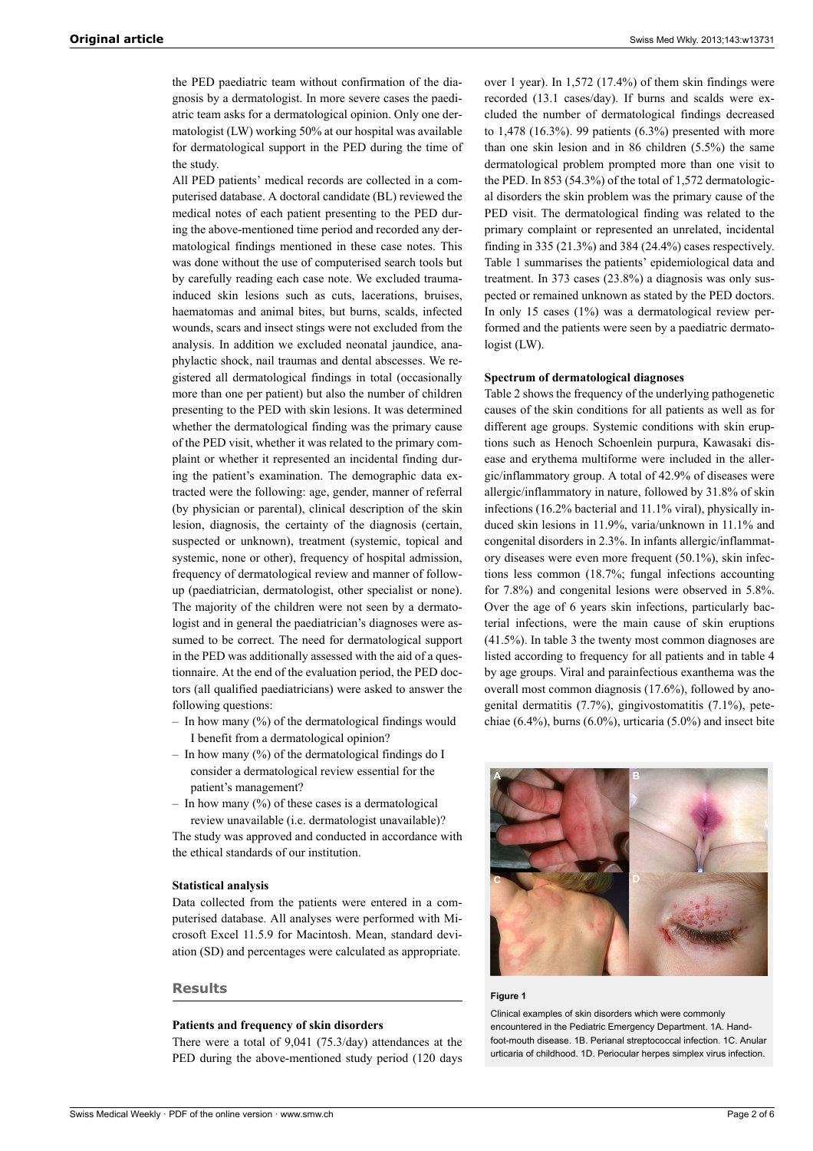the PED paediatric team without confirmation of the diagnosis by a dermatologist. In more severe cases the paediatric team asks for a dermatological opinion. Only one dermatologist (LW) working 50% at our hospital was available for dermatological support in the PED during the time of the study.

All PED patients' medical records are collected in a computerised database. A doctoral candidate (BL) reviewed the medical notes of each patient presenting to the PED during the above-mentioned time period and recorded any dermatological findings mentioned in these case notes. This was done without the use of computerised search tools but by carefully reading each case note. We excluded traumainduced skin lesions such as cuts, lacerations, bruises, haematomas and animal bites, but burns, scalds, infected wounds, scars and insect stings were not excluded from the analysis. In addition we excluded neonatal jaundice, anaphylactic shock, nail traumas and dental abscesses. We registered all dermatological findings in total (occasionally more than one per patient) but also the number of children presenting to the PED with skin lesions. It was determined whether the dermatological finding was the primary cause of the PED visit, whether it was related to the primary complaint or whether it represented an incidental finding during the patient's examination. The demographic data extracted were the following: age, gender, manner of referral (by physician or parental), clinical description of the skin lesion, diagnosis, the certainty of the diagnosis (certain, suspected or unknown), treatment (systemic, topical and systemic, none or other), frequency of hospital admission, frequency of dermatological review and manner of followup (paediatrician, dermatologist, other specialist or none). The majority of the children were not seen by a dermatologist and in general the paediatrician's diagnoses were assumed to be correct. The need for dermatological support in the PED was additionally assessed with the aid of a questionnaire. At the end of the evaluation period, the PED doctors (all qualified paediatricians) were asked to answer the following questions:

- $-$  In how many  $(\%)$  of the dermatological findings would I benefit from a dermatological opinion?
- In how many  $(\%)$  of the dermatological findings do I consider a dermatological review essential for the patient's management?
- In how many  $(\%)$  of these cases is a dermatological review unavailable (i.e. dermatologist unavailable)?

The study was approved and conducted in accordance with the ethical standards of our institution.

#### **Statistical analysis**

Data collected from the patients were entered in a computerised database. All analyses were performed with Microsoft Excel 11.5.9 for Macintosh. Mean, standard deviation (SD) and percentages were calculated as appropriate.

#### **Results**

#### **Patients and frequency of skin disorders**

There were a total of 9,041 (75.3/day) attendances at the PED during the above-mentioned study period (120 days

over 1 year). In 1,572 (17.4%) of them skin findings were recorded (13.1 cases/day). If burns and scalds were excluded the number of dermatological findings decreased to 1,478 (16.3%). 99 patients (6.3%) presented with more than one skin lesion and in 86 children (5.5%) the same dermatological problem prompted more than one visit to the PED. In 853 (54.3%) of the total of 1,572 dermatological disorders the skin problem was the primary cause of the PED visit. The dermatological finding was related to the primary complaint or represented an unrelated, incidental finding in 335 (21.3%) and 384 (24.4%) cases respectively. Table 1 summarises the patients' epidemiological data and treatment. In 373 cases (23.8%) a diagnosis was only suspected or remained unknown as stated by the PED doctors. In only 15 cases (1%) was a dermatological review performed and the patients were seen by a paediatric dermatologist (LW).

#### **Spectrum of dermatological diagnoses**

Table 2 shows the frequency of the underlying pathogenetic causes of the skin conditions for all patients as well as for different age groups. Systemic conditions with skin eruptions such as Henoch Schoenlein purpura, Kawasaki disease and erythema multiforme were included in the allergic/inflammatory group. A total of 42.9% of diseases were allergic/inflammatory in nature, followed by 31.8% of skin infections (16.2% bacterial and 11.1% viral), physically induced skin lesions in 11.9%, varia/unknown in 11.1% and congenital disorders in 2.3%. In infants allergic/inflammatory diseases were even more frequent (50.1%), skin infections less common (18.7%; fungal infections accounting for 7.8%) and congenital lesions were observed in 5.8%. Over the age of 6 years skin infections, particularly bacterial infections, were the main cause of skin eruptions (41.5%). In table 3 the twenty most common diagnoses are listed according to frequency for all patients and in table 4 by age groups. Viral and parainfectious exanthema was the overall most common diagnosis (17.6%), followed by anogenital dermatitis (7.7%), gingivostomatitis (7.1%), petechiae  $(6.4\%)$ , burns  $(6.0\%)$ , urticaria  $(5.0\%)$  and insect bite



#### **Figure 1**

Clinical examples of skin disorders which were commonly encountered in the Pediatric Emergency Department. 1A. Handfoot-mouth disease. 1B. Perianal streptococcal infection. 1C. Anular urticaria of childhood. 1D. Periocular herpes simplex virus infection.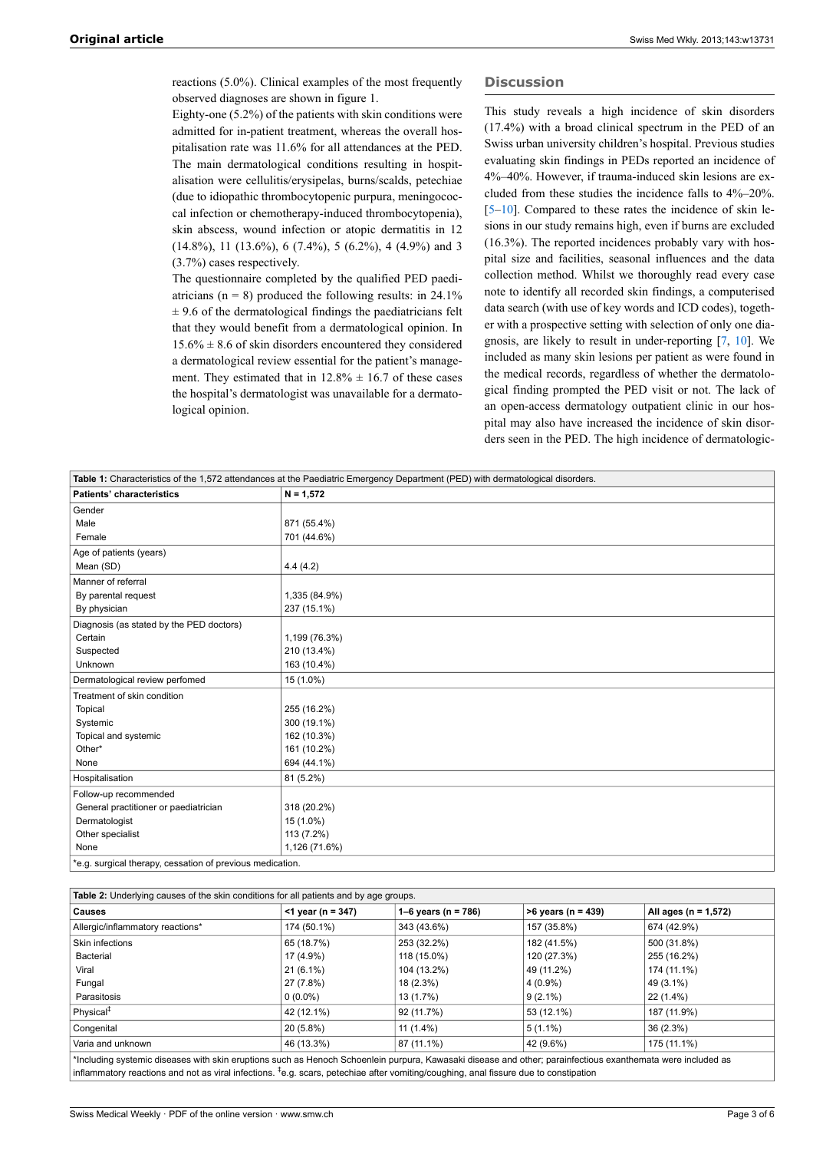reactions (5.0%). Clinical examples of the most frequently observed diagnoses are shown in figure 1.

Eighty-one (5.2%) of the patients with skin conditions were admitted for in-patient treatment, whereas the overall hospitalisation rate was 11.6% for all attendances at the PED. The main dermatological conditions resulting in hospitalisation were cellulitis/erysipelas, burns/scalds, petechiae (due to idiopathic thrombocytopenic purpura, meningococcal infection or chemotherapy-induced thrombocytopenia), skin abscess, wound infection or atopic dermatitis in 12  $(14.8\%)$ , 11  $(13.6\%)$ , 6  $(7.4\%)$ , 5  $(6.2\%)$ , 4  $(4.9\%)$  and 3 (3.7%) cases respectively.

The questionnaire completed by the qualified PED paediatricians ( $n = 8$ ) produced the following results: in 24.1%  $\pm$  9.6 of the dermatological findings the paediatricians felt that they would benefit from a dermatological opinion. In  $15.6\% \pm 8.6$  of skin disorders encountered they considered a dermatological review essential for the patient's management. They estimated that in  $12.8\% \pm 16.7$  of these cases the hospital's dermatologist was unavailable for a dermatological opinion.

#### **Discussion**

This study reveals a high incidence of skin disorders (17.4%) with a broad clinical spectrum in the PED of an Swiss urban university children's hospital. Previous studies evaluating skin findings in PEDs reported an incidence of 4%–40%. However, if trauma-induced skin lesions are excluded from these studies the incidence falls to 4%–20%. [[5](#page-4-3)–[10\]](#page-4-4). Compared to these rates the incidence of skin lesions in our study remains high, even if burns are excluded (16.3%). The reported incidences probably vary with hospital size and facilities, seasonal influences and the data collection method. Whilst we thoroughly read every case note to identify all recorded skin findings, a computerised data search (with use of key words and ICD codes), together with a prospective setting with selection of only one diagnosis, are likely to result in under-reporting [[7](#page-4-7), [10\]](#page-4-4). We included as many skin lesions per patient as were found in the medical records, regardless of whether the dermatological finding prompted the PED visit or not. The lack of an open-access dermatology outpatient clinic in our hospital may also have increased the incidence of skin disorders seen in the PED. The high incidence of dermatologic-

| Table 1: Characteristics of the 1,572 attendances at the Paediatric Emergency Department (PED) with dermatological disorders. |               |  |  |  |
|-------------------------------------------------------------------------------------------------------------------------------|---------------|--|--|--|
| <b>Patients' characteristics</b>                                                                                              | $N = 1,572$   |  |  |  |
| Gender                                                                                                                        |               |  |  |  |
| Male                                                                                                                          | 871 (55.4%)   |  |  |  |
| Female                                                                                                                        | 701 (44.6%)   |  |  |  |
| Age of patients (years)                                                                                                       |               |  |  |  |
| Mean (SD)                                                                                                                     | 4.4(4.2)      |  |  |  |
| Manner of referral                                                                                                            |               |  |  |  |
| By parental request                                                                                                           | 1,335 (84.9%) |  |  |  |
| By physician                                                                                                                  | 237 (15.1%)   |  |  |  |
| Diagnosis (as stated by the PED doctors)                                                                                      |               |  |  |  |
| Certain                                                                                                                       | 1,199 (76.3%) |  |  |  |
| Suspected                                                                                                                     | 210 (13.4%)   |  |  |  |
| Unknown                                                                                                                       | 163 (10.4%)   |  |  |  |
| Dermatological review perfomed                                                                                                | 15 (1.0%)     |  |  |  |
| Treatment of skin condition                                                                                                   |               |  |  |  |
| Topical                                                                                                                       | 255 (16.2%)   |  |  |  |
| Systemic                                                                                                                      | 300 (19.1%)   |  |  |  |
| Topical and systemic                                                                                                          | 162 (10.3%)   |  |  |  |
| Other*                                                                                                                        | 161 (10.2%)   |  |  |  |
| None                                                                                                                          | 694 (44.1%)   |  |  |  |
| Hospitalisation                                                                                                               | 81 (5.2%)     |  |  |  |
| Follow-up recommended                                                                                                         |               |  |  |  |
| General practitioner or paediatrician                                                                                         | 318 (20.2%)   |  |  |  |
| Dermatologist                                                                                                                 | 15 (1.0%)     |  |  |  |
| Other specialist                                                                                                              | 113 (7.2%)    |  |  |  |
| None                                                                                                                          | 1,126 (71.6%) |  |  |  |
| *e.g. surgical therapy, cessation of previous medication.                                                                     |               |  |  |  |

| <b>Table 2:</b> Underlying causes of the skin conditions for all patients and by age groups.                                                                |                      |                         |                      |                          |  |
|-------------------------------------------------------------------------------------------------------------------------------------------------------------|----------------------|-------------------------|----------------------|--------------------------|--|
| <b>Causes</b>                                                                                                                                               | $<$ 1 year (n = 347) | 1–6 years ( $n = 786$ ) | $>6$ years (n = 439) | All ages ( $n = 1,572$ ) |  |
| Allergic/inflammatory reactions*                                                                                                                            | 174 (50.1%)          | 343 (43.6%)             | 157 (35.8%)          | 674 (42.9%)              |  |
| Skin infections                                                                                                                                             | 65 (18.7%)           | 253 (32.2%)             | 182 (41.5%)          | 500 (31.8%)              |  |
| Bacterial                                                                                                                                                   | 17 (4.9%)            | 118 (15.0%)             | 120 (27.3%)          | 255 (16.2%)              |  |
| Viral                                                                                                                                                       | $21(6.1\%)$          | 104 (13.2%)             | 49 (11.2%)           | 174 (11.1%)              |  |
| Fungal                                                                                                                                                      | 27 (7.8%)            | 18 (2.3%)               | $4(0.9\%)$           | 49 (3.1%)                |  |
| Parasitosis                                                                                                                                                 | $0(0.0\%)$           | 13 (1.7%)               | $9(2.1\%)$           | 22 (1.4%)                |  |
| Physical <sup>#</sup>                                                                                                                                       | 42 (12.1%)           | 92 (11.7%)              | 53 (12.1%)           | 187 (11.9%)              |  |
| Congenital                                                                                                                                                  | 20 (5.8%)            | $11(1.4\%)$             | $5(1.1\%)$           | 36 (2.3%)                |  |
| Varia and unknown                                                                                                                                           | 46 (13.3%)           | 87 (11.1%)              | 42 (9.6%)            | 175 (11.1%)              |  |
| *Including systemic diseases with skin eruptions such as Henoch Schoenlein purpura, Kawasaki disease and other; parainfectious exanthemata were included as |                      |                         |                      |                          |  |

inflammatory reactions and not as viral infections. <sup>‡</sup>e.g. scars, petechiae after vomiting/coughing, anal fissure due to constipation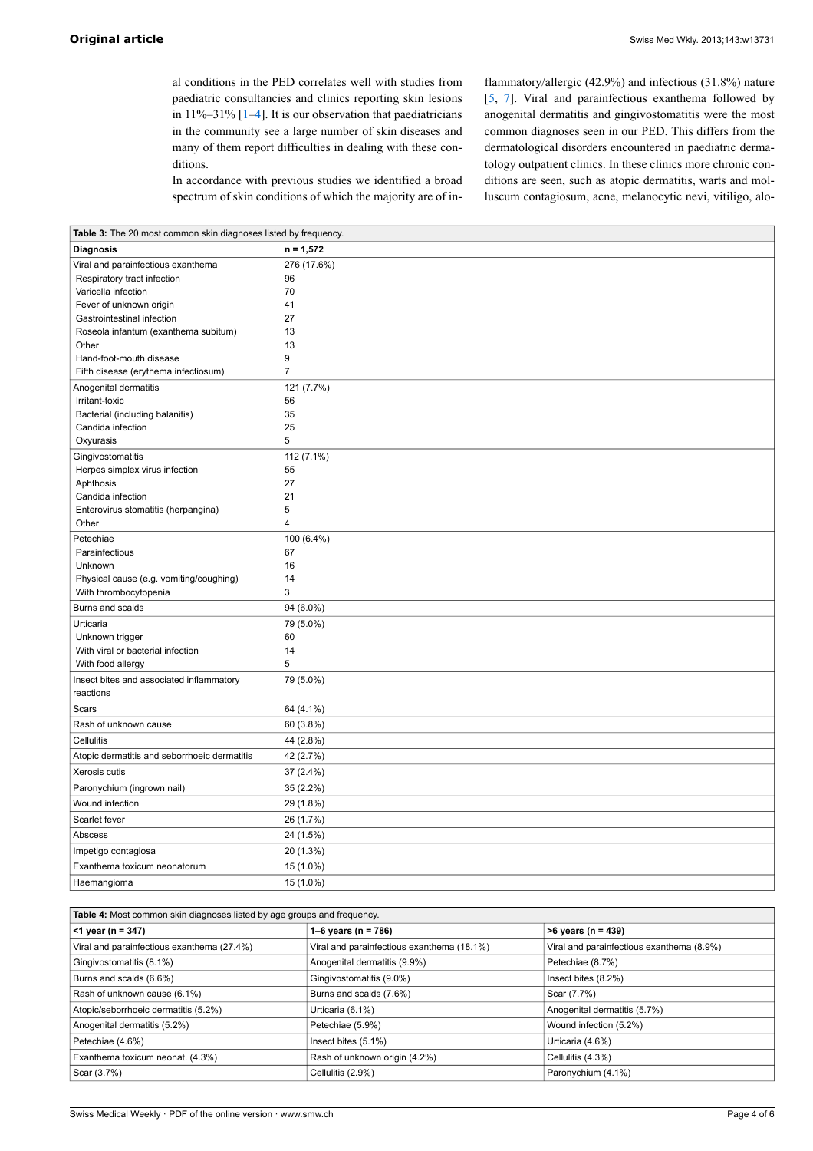al conditions in the PED correlates well with studies from paediatric consultancies and clinics reporting skin lesions in  $11\% - 31\%$  $11\% - 31\%$  [1–[4](#page-4-2)]. It is our observation that paediatricians in the community see a large number of skin diseases and many of them report difficulties in dealing with these conditions.

In accordance with previous studies we identified a broad spectrum of skin conditions of which the majority are of inflammatory/allergic (42.9%) and infectious (31.8%) nature [[5](#page-4-3), [7](#page-4-7)]. Viral and parainfectious exanthema followed by anogenital dermatitis and gingivostomatitis were the most common diagnoses seen in our PED. This differs from the dermatological disorders encountered in paediatric dermatology outpatient clinics. In these clinics more chronic conditions are seen, such as atopic dermatitis, warts and molluscum contagiosum, acne, melanocytic nevi, vitiligo, alo-

| Table 3: The 20 most common skin diagnoses listed by frequency. |                |  |  |  |
|-----------------------------------------------------------------|----------------|--|--|--|
| <b>Diagnosis</b>                                                | $n = 1,572$    |  |  |  |
| Viral and parainfectious exanthema                              | 276 (17.6%)    |  |  |  |
| Respiratory tract infection                                     | 96             |  |  |  |
| Varicella infection                                             | 70             |  |  |  |
| Fever of unknown origin                                         | 41             |  |  |  |
| Gastrointestinal infection                                      | 27             |  |  |  |
| Roseola infantum (exanthema subitum)                            | 13             |  |  |  |
| Other                                                           | 13             |  |  |  |
| Hand-foot-mouth disease                                         | 9              |  |  |  |
| Fifth disease (erythema infectiosum)                            | 7              |  |  |  |
| Anogenital dermatitis                                           | 121 (7.7%)     |  |  |  |
| Irritant-toxic                                                  | 56             |  |  |  |
| Bacterial (including balanitis)                                 | 35             |  |  |  |
| Candida infection                                               | 25             |  |  |  |
| Oxyurasis                                                       | 5              |  |  |  |
| Gingivostomatitis                                               | 112 (7.1%)     |  |  |  |
| Herpes simplex virus infection                                  | 55             |  |  |  |
| Aphthosis                                                       | 27             |  |  |  |
| Candida infection                                               | 21             |  |  |  |
| Enterovirus stomatitis (herpangina)                             | 5              |  |  |  |
| Other                                                           | $\overline{4}$ |  |  |  |
| Petechiae                                                       | 100 (6.4%)     |  |  |  |
| Parainfectious                                                  | 67             |  |  |  |
| Unknown                                                         | 16             |  |  |  |
| Physical cause (e.g. vomiting/coughing)                         | 14             |  |  |  |
| With thrombocytopenia                                           | 3              |  |  |  |
| Burns and scalds                                                | 94 (6.0%)      |  |  |  |
| Urticaria                                                       | 79 (5.0%)      |  |  |  |
| Unknown trigger                                                 | 60             |  |  |  |
| With viral or bacterial infection                               | 14             |  |  |  |
| With food allergy                                               | 5              |  |  |  |
| Insect bites and associated inflammatory                        | 79 (5.0%)      |  |  |  |
| reactions                                                       |                |  |  |  |
| Scars                                                           | 64 (4.1%)      |  |  |  |
| Rash of unknown cause<br>Cellulitis                             | 60 (3.8%)      |  |  |  |
|                                                                 | 44 (2.8%)      |  |  |  |
| Atopic dermatitis and seborrhoeic dermatitis                    | 42 (2.7%)      |  |  |  |
| Xerosis cutis                                                   | 37 (2.4%)      |  |  |  |
| Paronychium (ingrown nail)                                      | 35 (2.2%)      |  |  |  |
| Wound infection                                                 | 29 (1.8%)      |  |  |  |
| Scarlet fever                                                   | 26 (1.7%)      |  |  |  |
| Abscess                                                         | 24 (1.5%)      |  |  |  |
| Impetigo contagiosa                                             | 20 (1.3%)      |  |  |  |
| Exanthema toxicum neonatorum                                    | 15 (1.0%)      |  |  |  |
| Haemangioma                                                     | 15 (1.0%)      |  |  |  |

| <b>Table 4:</b> Most common skin diagnoses listed by age groups and frequency. |                                            |                                           |  |  |  |
|--------------------------------------------------------------------------------|--------------------------------------------|-------------------------------------------|--|--|--|
| $<$ 1 year (n = 347)                                                           | 1–6 years ( $n = 786$ )                    | $>6$ years (n = 439)                      |  |  |  |
| Viral and parainfectious exanthema (27.4%)                                     | Viral and parainfectious exanthema (18.1%) | Viral and parainfectious exanthema (8.9%) |  |  |  |
| Gingivostomatitis (8.1%)                                                       | Anogenital dermatitis (9.9%)               | Petechiae (8.7%)                          |  |  |  |
| Burns and scalds (6.6%)                                                        | Gingivostomatitis (9.0%)                   | Insect bites (8.2%)                       |  |  |  |
| Rash of unknown cause (6.1%)                                                   | Burns and scalds (7.6%)                    | Scar (7.7%)                               |  |  |  |
| Atopic/seborrhoeic dermatitis (5.2%)                                           | Urticaria (6.1%)                           | Anogenital dermatitis (5.7%)              |  |  |  |
| Anogenital dermatitis (5.2%)                                                   | Petechiae (5.9%)                           | Wound infection (5.2%)                    |  |  |  |
| Petechiae (4.6%)                                                               | Insect bites (5.1%)                        | Urticaria (4.6%)                          |  |  |  |
| Exanthema toxicum neonat. (4.3%)                                               | Rash of unknown origin (4.2%)              | Cellulitis (4.3%)                         |  |  |  |
| Scar (3.7%)                                                                    | Cellulitis (2.9%)                          | Paronychium (4.1%)                        |  |  |  |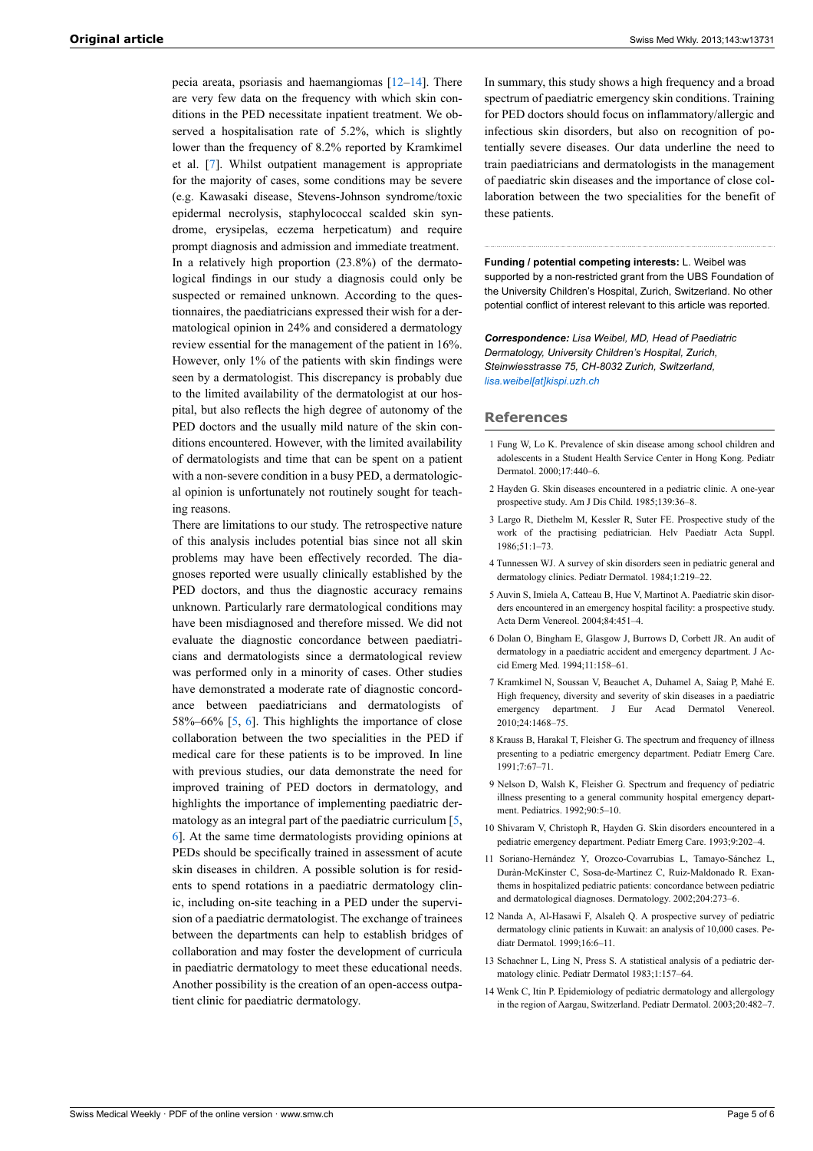pecia areata, psoriasis and haemangiomas [\[12](#page-4-8)–[14\]](#page-4-9). There are very few data on the frequency with which skin conditions in the PED necessitate inpatient treatment. We observed a hospitalisation rate of 5.2%, which is slightly lower than the frequency of 8.2% reported by Kramkimel et al. [\[7\]](#page-4-7). Whilst outpatient management is appropriate for the majority of cases, some conditions may be severe (e.g. Kawasaki disease, Stevens-Johnson syndrome/toxic epidermal necrolysis, staphylococcal scalded skin syndrome, erysipelas, eczema herpeticatum) and require prompt diagnosis and admission and immediate treatment. In a relatively high proportion (23.8%) of the dermatological findings in our study a diagnosis could only be suspected or remained unknown. According to the questionnaires, the paediatricians expressed their wish for a dermatological opinion in 24% and considered a dermatology review essential for the management of the patient in 16%. However, only 1% of the patients with skin findings were seen by a dermatologist. This discrepancy is probably due to the limited availability of the dermatologist at our hospital, but also reflects the high degree of autonomy of the PED doctors and the usually mild nature of the skin conditions encountered. However, with the limited availability of dermatologists and time that can be spent on a patient with a non-severe condition in a busy PED, a dermatological opinion is unfortunately not routinely sought for teaching reasons.

<span id="page-4-8"></span><span id="page-4-7"></span><span id="page-4-6"></span><span id="page-4-5"></span><span id="page-4-4"></span><span id="page-4-3"></span><span id="page-4-2"></span><span id="page-4-1"></span><span id="page-4-0"></span>There are limitations to our study. The retrospective nature of this analysis includes potential bias since not all skin problems may have been effectively recorded. The diagnoses reported were usually clinically established by the PED doctors, and thus the diagnostic accuracy remains unknown. Particularly rare dermatological conditions may have been misdiagnosed and therefore missed. We did not evaluate the diagnostic concordance between paediatricians and dermatologists since a dermatological review was performed only in a minority of cases. Other studies have demonstrated a moderate rate of diagnostic concordance between paediatricians and dermatologists of 58%–66% [[5](#page-4-3), [6](#page-4-5)]. This highlights the importance of close collaboration between the two specialities in the PED if medical care for these patients is to be improved. In line with previous studies, our data demonstrate the need for improved training of PED doctors in dermatology, and highlights the importance of implementing paediatric dermatology as an integral part of the paediatric curriculum [[5](#page-4-3), [6\]](#page-4-5). At the same time dermatologists providing opinions at PEDs should be specifically trained in assessment of acute skin diseases in children. A possible solution is for residents to spend rotations in a paediatric dermatology clinic, including on-site teaching in a PED under the supervision of a paediatric dermatologist. The exchange of trainees between the departments can help to establish bridges of collaboration and may foster the development of curricula in paediatric dermatology to meet these educational needs. Another possibility is the creation of an open-access outpatient clinic for paediatric dermatology.

In summary, this study shows a high frequency and a broad spectrum of paediatric emergency skin conditions. Training for PED doctors should focus on inflammatory/allergic and infectious skin disorders, but also on recognition of potentially severe diseases. Our data underline the need to train paediatricians and dermatologists in the management of paediatric skin diseases and the importance of close collaboration between the two specialities for the benefit of these patients.

**Funding / potential competing interests:** L. Weibel was supported by a non-restricted grant from the UBS Foundation of the University Children's Hospital, Zurich, Switzerland. No other potential conflict of interest relevant to this article was reported.

*Correspondence: Lisa Weibel, MD, Head of Paediatric Dermatology, University Children's Hospital, Zurich, Steinwiesstrasse 75, CH-8032 Zurich, Switzerland, [lisa.weibel\[at\]kispi.uzh.ch](mailto:lisa.weibel[at]kispi.uzh.ch)*

#### **References**

- 1 Fung W, Lo K. Prevalence of skin disease among school children and adolescents in a Student Health Service Center in Hong Kong. Pediatr Dermatol. 2000;17:440–6.
- 2 Hayden G. Skin diseases encountered in a pediatric clinic. A one-year prospective study. Am J Dis Child. 1985;139:36–8.
- 3 Largo R, Diethelm M, Kessler R, Suter FE. Prospective study of the work of the practising pediatrician. Helv Paediatr Acta Suppl. 1986;51:1–73.
- 4 Tunnessen WJ. A survey of skin disorders seen in pediatric general and dermatology clinics. Pediatr Dermatol. 1984;1:219–22.
- 5 Auvin S, Imiela A, Catteau B, Hue V, Martinot A. Paediatric skin disorders encountered in an emergency hospital facility: a prospective study. Acta Derm Venereol. 2004;84:451–4.
- 6 Dolan O, Bingham E, Glasgow J, Burrows D, Corbett JR. An audit of dermatology in a paediatric accident and emergency department. J Accid Emerg Med. 1994;11:158–61.
- 7 Kramkimel N, Soussan V, Beauchet A, Duhamel A, Saiag P, Mahé E. High frequency, diversity and severity of skin diseases in a paediatric emergency department. J Eur Acad Dermatol Venereol. 2010;24:1468–75.
- 8 Krauss B, Harakal T, Fleisher G. The spectrum and frequency of illness presenting to a pediatric emergency department. Pediatr Emerg Care. 1991;7:67–71.
- 9 Nelson D, Walsh K, Fleisher G. Spectrum and frequency of pediatric illness presenting to a general community hospital emergency department. Pediatrics. 1992;90:5–10.
- 10 Shivaram V, Christoph R, Hayden G. Skin disorders encountered in a pediatric emergency department. Pediatr Emerg Care. 1993;9:202–4.
- 11 Soriano-Hernández Y, Orozco-Covarrubias L, Tamayo-Sánchez L, Duràn-McKinster C, Sosa-de-Martinez C, Ruiz-Maldonado R. Exanthems in hospitalized pediatric patients: concordance between pediatric and dermatological diagnoses. Dermatology. 2002;204:273–6.
- 12 Nanda A, Al-Hasawi F, Alsaleh Q. A prospective survey of pediatric dermatology clinic patients in Kuwait: an analysis of 10,000 cases. Pediatr Dermatol. 1999;16:6–11.
- 13 Schachner L, Ling N, Press S. A statistical analysis of a pediatric dermatology clinic. Pediatr Dermatol 1983;1:157–64.
- <span id="page-4-9"></span>14 Wenk C, Itin P. Epidemiology of pediatric dermatology and allergology in the region of Aargau, Switzerland. Pediatr Dermatol. 2003;20:482–7.